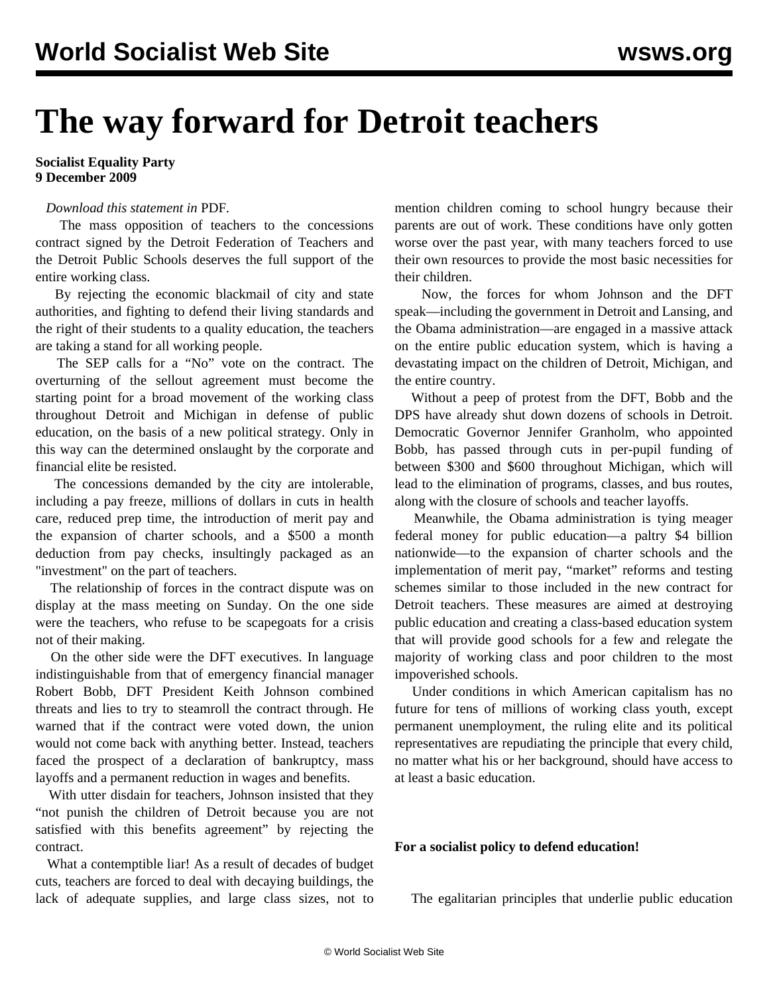# **The way forward for Detroit teachers**

#### **Socialist Equality Party 9 December 2009**

### *Download this statement in* PDF*.*

 The mass opposition of teachers to the concessions contract signed by the Detroit Federation of Teachers and the Detroit Public Schools deserves the full support of the entire working class.

 By rejecting the economic blackmail of city and state authorities, and fighting to defend their living standards and the right of their students to a quality education, the teachers are taking a stand for all working people.

 The SEP calls for a "No" vote on the contract. The overturning of the sellout agreement must become the starting point for a broad movement of the working class throughout Detroit and Michigan in defense of public education, on the basis of a new political strategy. Only in this way can the determined onslaught by the corporate and financial elite be resisted.

 The concessions demanded by the city are intolerable, including a pay freeze, millions of dollars in cuts in health care, reduced prep time, the introduction of merit pay and the expansion of charter schools, and a \$500 a month deduction from pay checks, insultingly packaged as an "investment" on the part of teachers.

 The relationship of forces in the contract dispute was on display at the mass meeting on Sunday. On the one side were the teachers, who refuse to be scapegoats for a crisis not of their making.

 On the other side were the DFT executives. In language indistinguishable from that of emergency financial manager Robert Bobb, DFT President Keith Johnson combined threats and lies to try to steamroll the contract through. He warned that if the contract were voted down, the union would not come back with anything better. Instead, teachers faced the prospect of a declaration of bankruptcy, mass layoffs and a permanent reduction in wages and benefits.

 With utter disdain for teachers, Johnson insisted that they "not punish the children of Detroit because you are not satisfied with this benefits agreement" by rejecting the contract.

 What a contemptible liar! As a result of decades of budget cuts, teachers are forced to deal with decaying buildings, the lack of adequate supplies, and large class sizes, not to mention children coming to school hungry because their parents are out of work. These conditions have only gotten worse over the past year, with many teachers forced to use their own resources to provide the most basic necessities for their children.

 Now, the forces for whom Johnson and the DFT speak—including the government in Detroit and Lansing, and the Obama administration—are engaged in a massive attack on the entire public education system, which is having a devastating impact on the children of Detroit, Michigan, and the entire country.

 Without a peep of protest from the DFT, Bobb and the DPS have already shut down dozens of schools in Detroit. Democratic Governor Jennifer Granholm, who appointed Bobb, has passed through cuts in per-pupil funding of between \$300 and \$600 throughout Michigan, which will lead to the elimination of programs, classes, and bus routes, along with the closure of schools and teacher layoffs.

 Meanwhile, the Obama administration is tying meager federal money for public education—a paltry \$4 billion nationwide—to the expansion of charter schools and the implementation of merit pay, "market" reforms and testing schemes similar to those included in the new contract for Detroit teachers. These measures are aimed at destroying public education and creating a class-based education system that will provide good schools for a few and relegate the majority of working class and poor children to the most impoverished schools.

 Under conditions in which American capitalism has no future for tens of millions of working class youth, except permanent unemployment, the ruling elite and its political representatives are repudiating the principle that every child, no matter what his or her background, should have access to at least a basic education.

#### **For a socialist policy to defend education!**

The egalitarian principles that underlie public education